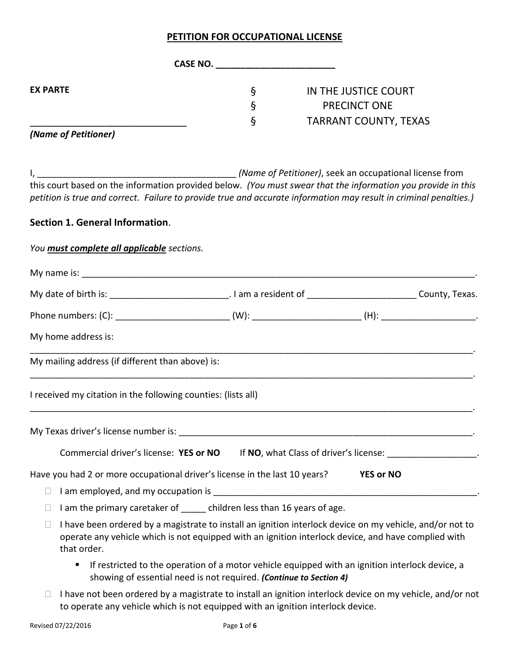## **PETITION FOR OCCUPATIONAL LICENSE**

|                                                                              | CASE NO.          |                                                                                                                                                                                                                                                                                              |
|------------------------------------------------------------------------------|-------------------|----------------------------------------------------------------------------------------------------------------------------------------------------------------------------------------------------------------------------------------------------------------------------------------------|
| <b>EX PARTE</b>                                                              | ş<br>$\S$<br>$\S$ | IN THE JUSTICE COURT<br><b>PRECINCT ONE</b>                                                                                                                                                                                                                                                  |
| (Name of Petitioner)                                                         |                   | <b>TARRANT COUNTY, TEXAS</b>                                                                                                                                                                                                                                                                 |
|                                                                              |                   | (Name of Petitioner), seek an occupational license from<br>this court based on the information provided below. (You must swear that the information you provide in this<br>petition is true and correct. Failure to provide true and accurate information may result in criminal penalties.) |
| Section 1. General Information.                                              |                   |                                                                                                                                                                                                                                                                                              |
| You <b>must complete all applicable</b> sections.                            |                   |                                                                                                                                                                                                                                                                                              |
|                                                                              |                   |                                                                                                                                                                                                                                                                                              |
|                                                                              |                   | My date of birth is: ________________________________. I am a resident of ____________________________County, Texas.                                                                                                                                                                         |
|                                                                              |                   | Phone numbers: (C): ______________________________(W): __________________________(H): ________________________                                                                                                                                                                               |
| My home address is:                                                          |                   |                                                                                                                                                                                                                                                                                              |
| My mailing address (if different than above) is:                             |                   |                                                                                                                                                                                                                                                                                              |
| I received my citation in the following counties: (lists all)                |                   |                                                                                                                                                                                                                                                                                              |
|                                                                              |                   |                                                                                                                                                                                                                                                                                              |
| Commercial driver's license: YES or NO                                       |                   | If NO, what Class of driver's license:                                                                                                                                                                                                                                                       |
| Have you had 2 or more occupational driver's license in the last 10 years?   |                   | <b>YES or NO</b>                                                                                                                                                                                                                                                                             |
| □                                                                            |                   |                                                                                                                                                                                                                                                                                              |
| I am the primary caretaker of _____ children less than 16 years of age.<br>⊔ |                   |                                                                                                                                                                                                                                                                                              |
| that order.                                                                  |                   | I have been ordered by a magistrate to install an ignition interlock device on my vehicle, and/or not to<br>operate any vehicle which is not equipped with an ignition interlock device, and have complied with                                                                              |
| showing of essential need is not required. (Continue to Section 4)           |                   | If restricted to the operation of a motor vehicle equipped with an ignition interlock device, a                                                                                                                                                                                              |

□ I have not been ordered by a magistrate to install an ignition interlock device on my vehicle, and/or not to operate any vehicle which is not equipped with an ignition interlock device.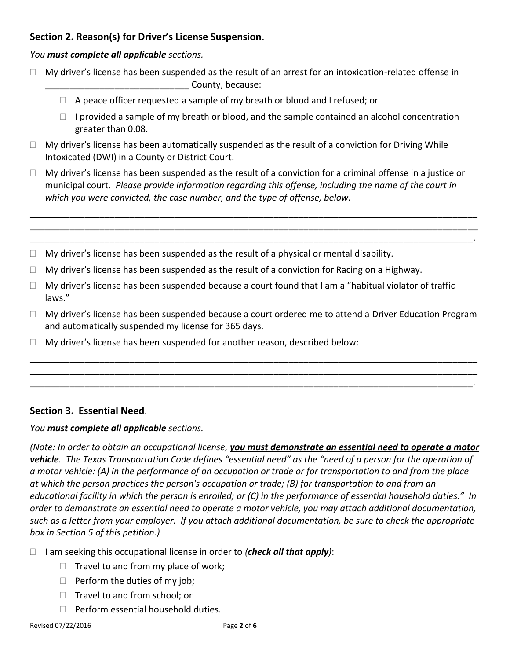# **Section 2. Reason(s) for Driver's License Suspension**.

# *You must complete all applicable sections.*

- $\Box$  My driver's license has been suspended as the result of an arrest for an intoxication-related offense in county, because:
	- $\Box$  A peace officer requested a sample of my breath or blood and I refused; or
	- $\Box$  I provided a sample of my breath or blood, and the sample contained an alcohol concentration greater than 0.08.
- $\Box$  My driver's license has been automatically suspended as the result of a conviction for Driving While Intoxicated (DWI) in a County or District Court.
- $\Box$  My driver's license has been suspended as the result of a conviction for a criminal offense in a justice or municipal court. *Please provide information regarding this offense, including the name of the court in which you were convicted, the case number, and the type of offense, below.*

\_\_\_\_\_\_\_\_\_\_\_\_\_\_\_\_\_\_\_\_\_\_\_\_\_\_\_\_\_\_\_\_\_\_\_\_\_\_\_\_\_\_\_\_\_\_\_\_\_\_\_\_\_\_\_\_\_\_\_\_\_\_\_\_\_\_\_\_\_\_\_\_\_\_\_\_\_\_\_\_\_\_\_\_\_\_\_\_\_\_ \_\_\_\_\_\_\_\_\_\_\_\_\_\_\_\_\_\_\_\_\_\_\_\_\_\_\_\_\_\_\_\_\_\_\_\_\_\_\_\_\_\_\_\_\_\_\_\_\_\_\_\_\_\_\_\_\_\_\_\_\_\_\_\_\_\_\_\_\_\_\_\_\_\_\_\_\_\_\_\_\_\_\_\_\_\_\_\_\_\_ \_\_\_\_\_\_\_\_\_\_\_\_\_\_\_\_\_\_\_\_\_\_\_\_\_\_\_\_\_\_\_\_\_\_\_\_\_\_\_\_\_\_\_\_\_\_\_\_\_\_\_\_\_\_\_\_\_\_\_\_\_\_\_\_\_\_\_\_\_\_\_\_\_\_\_\_\_\_\_\_\_\_\_\_\_\_\_\_\_.

- $\Box$  My driver's license has been suspended as the result of a physical or mental disability.
- $\Box$  My driver's license has been suspended as the result of a conviction for Racing on a Highway.
- $\Box$  My driver's license has been suspended because a court found that I am a "habitual violator of traffic laws."
- $\Box$  My driver's license has been suspended because a court ordered me to attend a Driver Education Program and automatically suspended my license for 365 days.

\_\_\_\_\_\_\_\_\_\_\_\_\_\_\_\_\_\_\_\_\_\_\_\_\_\_\_\_\_\_\_\_\_\_\_\_\_\_\_\_\_\_\_\_\_\_\_\_\_\_\_\_\_\_\_\_\_\_\_\_\_\_\_\_\_\_\_\_\_\_\_\_\_\_\_\_\_\_\_\_\_\_\_\_\_\_\_\_\_\_ \_\_\_\_\_\_\_\_\_\_\_\_\_\_\_\_\_\_\_\_\_\_\_\_\_\_\_\_\_\_\_\_\_\_\_\_\_\_\_\_\_\_\_\_\_\_\_\_\_\_\_\_\_\_\_\_\_\_\_\_\_\_\_\_\_\_\_\_\_\_\_\_\_\_\_\_\_\_\_\_\_\_\_\_\_\_\_\_\_\_ \_\_\_\_\_\_\_\_\_\_\_\_\_\_\_\_\_\_\_\_\_\_\_\_\_\_\_\_\_\_\_\_\_\_\_\_\_\_\_\_\_\_\_\_\_\_\_\_\_\_\_\_\_\_\_\_\_\_\_\_\_\_\_\_\_\_\_\_\_\_\_\_\_\_\_\_\_\_\_\_\_\_\_\_\_\_\_\_\_.

 $\Box$  My driver's license has been suspended for another reason, described below:

# **Section 3. Essential Need**.

# *You must complete all applicable sections.*

*(Note: In order to obtain an occupational license, you must demonstrate an essential need to operate a motor vehicle. The Texas Transportation Code defines "essential need" as the "need of a person for the operation of a motor vehicle: (A) in the performance of an occupation or trade or for transportation to and from the place at which the person practices the person's occupation or trade; (B) for transportation to and from an educational facility in which the person is enrolled; or (C) in the performance of essential household duties." In order to demonstrate an essential need to operate a motor vehicle, you may attach additional documentation, such as a letter from your employer. If you attach additional documentation, be sure to check the appropriate box in Section 5 of this petition.)*

I am seeking this occupational license in order to *(check all that apply)*:

- $\Box$  Travel to and from my place of work;
- $\Box$  Perform the duties of my job;
- $\Box$  Travel to and from school; or
- $\Box$  Perform essential household duties.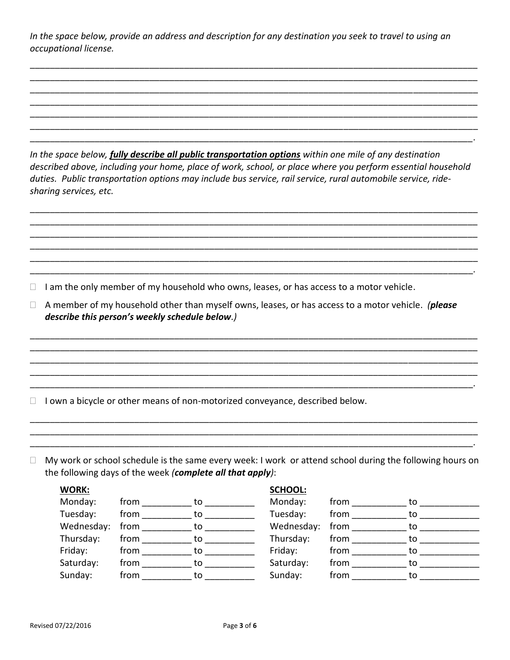*In the space below, provide an address and description for any destination you seek to travel to using an occupational license.*

\_\_\_\_\_\_\_\_\_\_\_\_\_\_\_\_\_\_\_\_\_\_\_\_\_\_\_\_\_\_\_\_\_\_\_\_\_\_\_\_\_\_\_\_\_\_\_\_\_\_\_\_\_\_\_\_\_\_\_\_\_\_\_\_\_\_\_\_\_\_\_\_\_\_\_\_\_\_\_\_\_\_\_\_\_\_\_\_\_\_ \_\_\_\_\_\_\_\_\_\_\_\_\_\_\_\_\_\_\_\_\_\_\_\_\_\_\_\_\_\_\_\_\_\_\_\_\_\_\_\_\_\_\_\_\_\_\_\_\_\_\_\_\_\_\_\_\_\_\_\_\_\_\_\_\_\_\_\_\_\_\_\_\_\_\_\_\_\_\_\_\_\_\_\_\_\_\_\_\_\_ \_\_\_\_\_\_\_\_\_\_\_\_\_\_\_\_\_\_\_\_\_\_\_\_\_\_\_\_\_\_\_\_\_\_\_\_\_\_\_\_\_\_\_\_\_\_\_\_\_\_\_\_\_\_\_\_\_\_\_\_\_\_\_\_\_\_\_\_\_\_\_\_\_\_\_\_\_\_\_\_\_\_\_\_\_\_\_\_\_\_ \_\_\_\_\_\_\_\_\_\_\_\_\_\_\_\_\_\_\_\_\_\_\_\_\_\_\_\_\_\_\_\_\_\_\_\_\_\_\_\_\_\_\_\_\_\_\_\_\_\_\_\_\_\_\_\_\_\_\_\_\_\_\_\_\_\_\_\_\_\_\_\_\_\_\_\_\_\_\_\_\_\_\_\_\_\_\_\_\_\_ \_\_\_\_\_\_\_\_\_\_\_\_\_\_\_\_\_\_\_\_\_\_\_\_\_\_\_\_\_\_\_\_\_\_\_\_\_\_\_\_\_\_\_\_\_\_\_\_\_\_\_\_\_\_\_\_\_\_\_\_\_\_\_\_\_\_\_\_\_\_\_\_\_\_\_\_\_\_\_\_\_\_\_\_\_\_\_\_\_\_ \_\_\_\_\_\_\_\_\_\_\_\_\_\_\_\_\_\_\_\_\_\_\_\_\_\_\_\_\_\_\_\_\_\_\_\_\_\_\_\_\_\_\_\_\_\_\_\_\_\_\_\_\_\_\_\_\_\_\_\_\_\_\_\_\_\_\_\_\_\_\_\_\_\_\_\_\_\_\_\_\_\_\_\_\_\_\_\_\_\_ \_\_\_\_\_\_\_\_\_\_\_\_\_\_\_\_\_\_\_\_\_\_\_\_\_\_\_\_\_\_\_\_\_\_\_\_\_\_\_\_\_\_\_\_\_\_\_\_\_\_\_\_\_\_\_\_\_\_\_\_\_\_\_\_\_\_\_\_\_\_\_\_\_\_\_\_\_\_\_\_\_\_\_\_\_\_\_\_\_.

*In the space below, fully describe all public transportation options within one mile of any destination described above, including your home, place of work, school, or place where you perform essential household duties. Public transportation options may include bus service, rail service, rural automobile service, ridesharing services, etc.* 

\_\_\_\_\_\_\_\_\_\_\_\_\_\_\_\_\_\_\_\_\_\_\_\_\_\_\_\_\_\_\_\_\_\_\_\_\_\_\_\_\_\_\_\_\_\_\_\_\_\_\_\_\_\_\_\_\_\_\_\_\_\_\_\_\_\_\_\_\_\_\_\_\_\_\_\_\_\_\_\_\_\_\_\_\_\_\_\_\_\_ \_\_\_\_\_\_\_\_\_\_\_\_\_\_\_\_\_\_\_\_\_\_\_\_\_\_\_\_\_\_\_\_\_\_\_\_\_\_\_\_\_\_\_\_\_\_\_\_\_\_\_\_\_\_\_\_\_\_\_\_\_\_\_\_\_\_\_\_\_\_\_\_\_\_\_\_\_\_\_\_\_\_\_\_\_\_\_\_\_\_ \_\_\_\_\_\_\_\_\_\_\_\_\_\_\_\_\_\_\_\_\_\_\_\_\_\_\_\_\_\_\_\_\_\_\_\_\_\_\_\_\_\_\_\_\_\_\_\_\_\_\_\_\_\_\_\_\_\_\_\_\_\_\_\_\_\_\_\_\_\_\_\_\_\_\_\_\_\_\_\_\_\_\_\_\_\_\_\_\_\_ \_\_\_\_\_\_\_\_\_\_\_\_\_\_\_\_\_\_\_\_\_\_\_\_\_\_\_\_\_\_\_\_\_\_\_\_\_\_\_\_\_\_\_\_\_\_\_\_\_\_\_\_\_\_\_\_\_\_\_\_\_\_\_\_\_\_\_\_\_\_\_\_\_\_\_\_\_\_\_\_\_\_\_\_\_\_\_\_\_\_ \_\_\_\_\_\_\_\_\_\_\_\_\_\_\_\_\_\_\_\_\_\_\_\_\_\_\_\_\_\_\_\_\_\_\_\_\_\_\_\_\_\_\_\_\_\_\_\_\_\_\_\_\_\_\_\_\_\_\_\_\_\_\_\_\_\_\_\_\_\_\_\_\_\_\_\_\_\_\_\_\_\_\_\_\_\_\_\_\_\_ \_\_\_\_\_\_\_\_\_\_\_\_\_\_\_\_\_\_\_\_\_\_\_\_\_\_\_\_\_\_\_\_\_\_\_\_\_\_\_\_\_\_\_\_\_\_\_\_\_\_\_\_\_\_\_\_\_\_\_\_\_\_\_\_\_\_\_\_\_\_\_\_\_\_\_\_\_\_\_\_\_\_\_\_\_\_\_\_\_.

 $\Box$  I am the only member of my household who owns, leases, or has access to a motor vehicle.

 A member of my household other than myself owns, leases, or has access to a motor vehicle. *(please describe this person's weekly schedule below.)*

\_\_\_\_\_\_\_\_\_\_\_\_\_\_\_\_\_\_\_\_\_\_\_\_\_\_\_\_\_\_\_\_\_\_\_\_\_\_\_\_\_\_\_\_\_\_\_\_\_\_\_\_\_\_\_\_\_\_\_\_\_\_\_\_\_\_\_\_\_\_\_\_\_\_\_\_\_\_\_\_\_\_\_\_\_\_\_\_\_\_ \_\_\_\_\_\_\_\_\_\_\_\_\_\_\_\_\_\_\_\_\_\_\_\_\_\_\_\_\_\_\_\_\_\_\_\_\_\_\_\_\_\_\_\_\_\_\_\_\_\_\_\_\_\_\_\_\_\_\_\_\_\_\_\_\_\_\_\_\_\_\_\_\_\_\_\_\_\_\_\_\_\_\_\_\_\_\_\_\_\_ \_\_\_\_\_\_\_\_\_\_\_\_\_\_\_\_\_\_\_\_\_\_\_\_\_\_\_\_\_\_\_\_\_\_\_\_\_\_\_\_\_\_\_\_\_\_\_\_\_\_\_\_\_\_\_\_\_\_\_\_\_\_\_\_\_\_\_\_\_\_\_\_\_\_\_\_\_\_\_\_\_\_\_\_\_\_\_\_\_\_ \_\_\_\_\_\_\_\_\_\_\_\_\_\_\_\_\_\_\_\_\_\_\_\_\_\_\_\_\_\_\_\_\_\_\_\_\_\_\_\_\_\_\_\_\_\_\_\_\_\_\_\_\_\_\_\_\_\_\_\_\_\_\_\_\_\_\_\_\_\_\_\_\_\_\_\_\_\_\_\_\_\_\_\_\_\_\_\_\_\_ \_\_\_\_\_\_\_\_\_\_\_\_\_\_\_\_\_\_\_\_\_\_\_\_\_\_\_\_\_\_\_\_\_\_\_\_\_\_\_\_\_\_\_\_\_\_\_\_\_\_\_\_\_\_\_\_\_\_\_\_\_\_\_\_\_\_\_\_\_\_\_\_\_\_\_\_\_\_\_\_\_\_\_\_\_\_\_\_\_.

 $\Box$  I own a bicycle or other means of non-motorized conveyance, described below.

 $\Box$  My work or school schedule is the same every week: I work or attend school during the following hours on the following days of the week *(complete all that apply)*:

\_\_\_\_\_\_\_\_\_\_\_\_\_\_\_\_\_\_\_\_\_\_\_\_\_\_\_\_\_\_\_\_\_\_\_\_\_\_\_\_\_\_\_\_\_\_\_\_\_\_\_\_\_\_\_\_\_\_\_\_\_\_\_\_\_\_\_\_\_\_\_\_\_\_\_\_\_\_\_\_\_\_\_\_\_\_\_\_\_\_ \_\_\_\_\_\_\_\_\_\_\_\_\_\_\_\_\_\_\_\_\_\_\_\_\_\_\_\_\_\_\_\_\_\_\_\_\_\_\_\_\_\_\_\_\_\_\_\_\_\_\_\_\_\_\_\_\_\_\_\_\_\_\_\_\_\_\_\_\_\_\_\_\_\_\_\_\_\_\_\_\_\_\_\_\_\_\_\_\_\_ \_\_\_\_\_\_\_\_\_\_\_\_\_\_\_\_\_\_\_\_\_\_\_\_\_\_\_\_\_\_\_\_\_\_\_\_\_\_\_\_\_\_\_\_\_\_\_\_\_\_\_\_\_\_\_\_\_\_\_\_\_\_\_\_\_\_\_\_\_\_\_\_\_\_\_\_\_\_\_\_\_\_\_\_\_\_\_\_\_.

| <b>WORK:</b> |      |    | <b>SCHOOL:</b> |      |    |
|--------------|------|----|----------------|------|----|
| Monday:      | from | to | Monday:        | from | to |
| Tuesday:     | from | to | Tuesday:       | from | to |
| Wednesday:   | from | to | Wednesday:     | from | tο |
| Thursday:    | from | to | Thursday:      | from | to |
| Friday:      | from | to | Friday:        | from | to |
| Saturday:    | from | to | Saturday:      | from | to |
| Sunday:      | from | to | Sunday:        | from |    |
|              |      |    |                |      |    |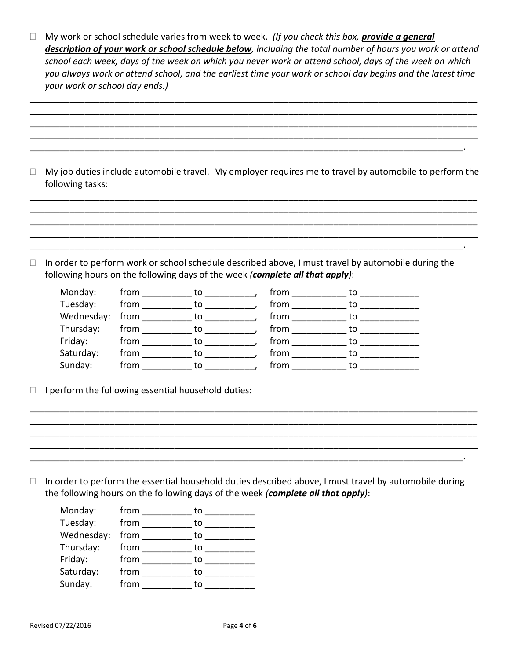□ My work or school schedule varies from week to week. (If you check this box, **provide a general** *description of your work or school schedule below, including the total number of hours you work or attend school each week, days of the week on which you never work or attend school, days of the week on which you always work or attend school, and the earliest time your work or school day begins and the latest time your work or school day ends.)*

\_\_\_\_\_\_\_\_\_\_\_\_\_\_\_\_\_\_\_\_\_\_\_\_\_\_\_\_\_\_\_\_\_\_\_\_\_\_\_\_\_\_\_\_\_\_\_\_\_\_\_\_\_\_\_\_\_\_\_\_\_\_\_\_\_\_\_\_\_\_\_\_\_\_\_\_\_\_\_\_\_\_\_\_\_\_\_\_\_\_ \_\_\_\_\_\_\_\_\_\_\_\_\_\_\_\_\_\_\_\_\_\_\_\_\_\_\_\_\_\_\_\_\_\_\_\_\_\_\_\_\_\_\_\_\_\_\_\_\_\_\_\_\_\_\_\_\_\_\_\_\_\_\_\_\_\_\_\_\_\_\_\_\_\_\_\_\_\_\_\_\_\_\_\_\_\_\_\_\_\_ \_\_\_\_\_\_\_\_\_\_\_\_\_\_\_\_\_\_\_\_\_\_\_\_\_\_\_\_\_\_\_\_\_\_\_\_\_\_\_\_\_\_\_\_\_\_\_\_\_\_\_\_\_\_\_\_\_\_\_\_\_\_\_\_\_\_\_\_\_\_\_\_\_\_\_\_\_\_\_\_\_\_\_\_\_\_\_\_\_\_ \_\_\_\_\_\_\_\_\_\_\_\_\_\_\_\_\_\_\_\_\_\_\_\_\_\_\_\_\_\_\_\_\_\_\_\_\_\_\_\_\_\_\_\_\_\_\_\_\_\_\_\_\_\_\_\_\_\_\_\_\_\_\_\_\_\_\_\_\_\_\_\_\_\_\_\_\_\_\_\_\_\_\_\_\_\_\_\_\_\_ \_\_\_\_\_\_\_\_\_\_\_\_\_\_\_\_\_\_\_\_\_\_\_\_\_\_\_\_\_\_\_\_\_\_\_\_\_\_\_\_\_\_\_\_\_\_\_\_\_\_\_\_\_\_\_\_\_\_\_\_\_\_\_\_\_\_\_\_\_\_\_\_\_\_\_\_\_\_\_\_\_\_\_\_\_\_\_.

 $\Box$  My job duties include automobile travel. My employer requires me to travel by automobile to perform the following tasks:

\_\_\_\_\_\_\_\_\_\_\_\_\_\_\_\_\_\_\_\_\_\_\_\_\_\_\_\_\_\_\_\_\_\_\_\_\_\_\_\_\_\_\_\_\_\_\_\_\_\_\_\_\_\_\_\_\_\_\_\_\_\_\_\_\_\_\_\_\_\_\_\_\_\_\_\_\_\_\_\_\_\_\_\_\_\_\_\_\_\_ \_\_\_\_\_\_\_\_\_\_\_\_\_\_\_\_\_\_\_\_\_\_\_\_\_\_\_\_\_\_\_\_\_\_\_\_\_\_\_\_\_\_\_\_\_\_\_\_\_\_\_\_\_\_\_\_\_\_\_\_\_\_\_\_\_\_\_\_\_\_\_\_\_\_\_\_\_\_\_\_\_\_\_\_\_\_\_\_\_\_ \_\_\_\_\_\_\_\_\_\_\_\_\_\_\_\_\_\_\_\_\_\_\_\_\_\_\_\_\_\_\_\_\_\_\_\_\_\_\_\_\_\_\_\_\_\_\_\_\_\_\_\_\_\_\_\_\_\_\_\_\_\_\_\_\_\_\_\_\_\_\_\_\_\_\_\_\_\_\_\_\_\_\_\_\_\_\_\_\_\_

 $\Box$  In order to perform work or school schedule described above, I must travel by automobile during the following hours on the following days of the week *(complete all that apply)*:

\_\_\_\_\_\_\_\_\_\_\_\_\_\_\_\_\_\_\_\_\_\_\_\_\_\_\_\_\_\_\_\_\_\_\_\_\_\_\_\_\_\_\_\_\_\_\_\_\_\_\_\_\_\_\_\_\_\_\_\_\_\_\_\_\_\_\_\_\_\_\_\_\_\_\_\_\_\_\_\_\_\_\_\_\_\_\_.

| Monday:    | from | to | from | to |
|------------|------|----|------|----|
| Tuesday:   | from | to | from | to |
| Wednesday: | from | to | from | to |
| Thursday:  | from | to | from | to |
| Friday:    | from | to | from | to |
| Saturday:  | from | to | from | tο |
| Sunday:    | from | to | from |    |

 $\Box$  I perform the following essential household duties:

 $\Box$  In order to perform the essential household duties described above, I must travel by automobile during the following hours on the following days of the week *(complete all that apply)*:

\_\_\_\_\_\_\_\_\_\_\_\_\_\_\_\_\_\_\_\_\_\_\_\_\_\_\_\_\_\_\_\_\_\_\_\_\_\_\_\_\_\_\_\_\_\_\_\_\_\_\_\_\_\_\_\_\_\_\_\_\_\_\_\_\_\_\_\_\_\_\_\_\_\_\_\_\_\_\_\_\_\_\_\_\_\_\_.

\_\_\_\_\_\_\_\_\_\_\_\_\_\_\_\_\_\_\_\_\_\_\_\_\_\_\_\_\_\_\_\_\_\_\_\_\_\_\_\_\_\_\_\_\_\_\_\_\_\_\_\_\_\_\_\_\_\_\_\_\_\_\_\_\_\_\_\_\_\_\_\_\_\_\_\_\_\_\_\_\_\_\_\_\_\_\_\_\_\_ \_\_\_\_\_\_\_\_\_\_\_\_\_\_\_\_\_\_\_\_\_\_\_\_\_\_\_\_\_\_\_\_\_\_\_\_\_\_\_\_\_\_\_\_\_\_\_\_\_\_\_\_\_\_\_\_\_\_\_\_\_\_\_\_\_\_\_\_\_\_\_\_\_\_\_\_\_\_\_\_\_\_\_\_\_\_\_\_\_\_ \_\_\_\_\_\_\_\_\_\_\_\_\_\_\_\_\_\_\_\_\_\_\_\_\_\_\_\_\_\_\_\_\_\_\_\_\_\_\_\_\_\_\_\_\_\_\_\_\_\_\_\_\_\_\_\_\_\_\_\_\_\_\_\_\_\_\_\_\_\_\_\_\_\_\_\_\_\_\_\_\_\_\_\_\_\_\_\_\_\_

| Monday:    | from | to |
|------------|------|----|
| Tuesday:   | from | to |
| Wednesday: | from | to |
| Thursday:  | from | to |
| Friday:    | from | to |
| Saturday:  | from | to |
| Sunday:    | from | to |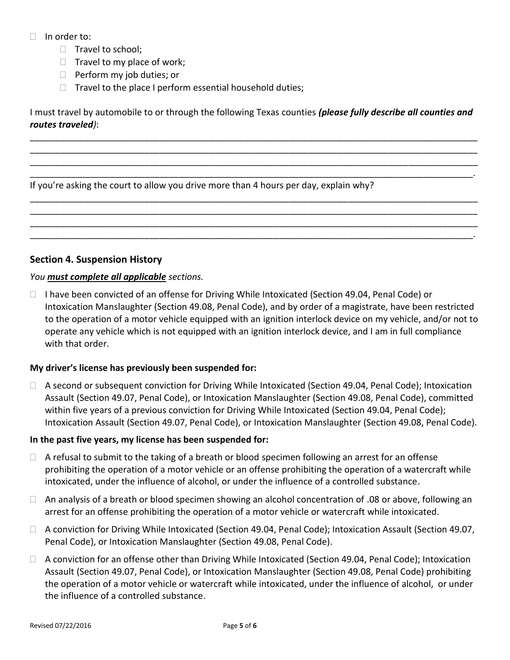- $\Box$  In order to:
	- $\Box$  Travel to school;
	- $\Box$  Travel to my place of work;
	- $\Box$  Perform my job duties; or
	- $\Box$  Travel to the place I perform essential household duties;

I must travel by automobile to or through the following Texas counties *(please fully describe all counties and routes traveled)*:

\_\_\_\_\_\_\_\_\_\_\_\_\_\_\_\_\_\_\_\_\_\_\_\_\_\_\_\_\_\_\_\_\_\_\_\_\_\_\_\_\_\_\_\_\_\_\_\_\_\_\_\_\_\_\_\_\_\_\_\_\_\_\_\_\_\_\_\_\_\_\_\_\_\_\_\_\_\_\_\_\_\_\_\_\_\_\_\_\_\_ \_\_\_\_\_\_\_\_\_\_\_\_\_\_\_\_\_\_\_\_\_\_\_\_\_\_\_\_\_\_\_\_\_\_\_\_\_\_\_\_\_\_\_\_\_\_\_\_\_\_\_\_\_\_\_\_\_\_\_\_\_\_\_\_\_\_\_\_\_\_\_\_\_\_\_\_\_\_\_\_\_\_\_\_\_\_\_\_\_\_ \_\_\_\_\_\_\_\_\_\_\_\_\_\_\_\_\_\_\_\_\_\_\_\_\_\_\_\_\_\_\_\_\_\_\_\_\_\_\_\_\_\_\_\_\_\_\_\_\_\_\_\_\_\_\_\_\_\_\_\_\_\_\_\_\_\_\_\_\_\_\_\_\_\_\_\_\_\_\_\_\_\_\_\_\_\_\_\_\_\_ \_\_\_\_\_\_\_\_\_\_\_\_\_\_\_\_\_\_\_\_\_\_\_\_\_\_\_\_\_\_\_\_\_\_\_\_\_\_\_\_\_\_\_\_\_\_\_\_\_\_\_\_\_\_\_\_\_\_\_\_\_\_\_\_\_\_\_\_\_\_\_\_\_\_\_\_\_\_\_\_\_\_\_\_\_\_\_\_\_.

\_\_\_\_\_\_\_\_\_\_\_\_\_\_\_\_\_\_\_\_\_\_\_\_\_\_\_\_\_\_\_\_\_\_\_\_\_\_\_\_\_\_\_\_\_\_\_\_\_\_\_\_\_\_\_\_\_\_\_\_\_\_\_\_\_\_\_\_\_\_\_\_\_\_\_\_\_\_\_\_\_\_\_\_\_\_\_\_\_\_ \_\_\_\_\_\_\_\_\_\_\_\_\_\_\_\_\_\_\_\_\_\_\_\_\_\_\_\_\_\_\_\_\_\_\_\_\_\_\_\_\_\_\_\_\_\_\_\_\_\_\_\_\_\_\_\_\_\_\_\_\_\_\_\_\_\_\_\_\_\_\_\_\_\_\_\_\_\_\_\_\_\_\_\_\_\_\_\_\_\_ \_\_\_\_\_\_\_\_\_\_\_\_\_\_\_\_\_\_\_\_\_\_\_\_\_\_\_\_\_\_\_\_\_\_\_\_\_\_\_\_\_\_\_\_\_\_\_\_\_\_\_\_\_\_\_\_\_\_\_\_\_\_\_\_\_\_\_\_\_\_\_\_\_\_\_\_\_\_\_\_\_\_\_\_\_\_\_\_\_\_ \_\_\_\_\_\_\_\_\_\_\_\_\_\_\_\_\_\_\_\_\_\_\_\_\_\_\_\_\_\_\_\_\_\_\_\_\_\_\_\_\_\_\_\_\_\_\_\_\_\_\_\_\_\_\_\_\_\_\_\_\_\_\_\_\_\_\_\_\_\_\_\_\_\_\_\_\_\_\_\_\_\_\_\_\_\_\_\_\_.

If you're asking the court to allow you drive more than 4 hours per day, explain why?

### **Section 4. Suspension History**

### *You must complete all applicable sections.*

 $\Box$  I have been convicted of an offense for Driving While Intoxicated (Section 49.04, Penal Code) or Intoxication Manslaughter (Section 49.08, Penal Code), and by order of a magistrate, have been restricted to the operation of a motor vehicle equipped with an ignition interlock device on my vehicle, and/or not to operate any vehicle which is not equipped with an ignition interlock device, and I am in full compliance with that order.

### **My driver's license has previously been suspended for:**

 A second or subsequent conviction for Driving While Intoxicated (Section 49.04, Penal Code); Intoxication Assault (Section 49.07, Penal Code), or Intoxication Manslaughter (Section 49.08, Penal Code), committed within five years of a previous conviction for Driving While Intoxicated (Section 49.04, Penal Code); Intoxication Assault (Section 49.07, Penal Code), or Intoxication Manslaughter (Section 49.08, Penal Code).

#### **In the past five years, my license has been suspended for:**

- $\Box$  A refusal to submit to the taking of a breath or blood specimen following an arrest for an offense prohibiting the operation of a motor vehicle or an offense prohibiting the operation of a watercraft while intoxicated, under the influence of alcohol, or under the influence of a controlled substance.
- □ An analysis of a breath or blood specimen showing an alcohol concentration of .08 or above, following an arrest for an offense prohibiting the operation of a motor vehicle or watercraft while intoxicated.
- □ A conviction for Driving While Intoxicated (Section 49.04, Penal Code); Intoxication Assault (Section 49.07, Penal Code), or Intoxication Manslaughter (Section 49.08, Penal Code).
- □ A conviction for an offense other than Driving While Intoxicated (Section 49.04, Penal Code); Intoxication Assault (Section 49.07, Penal Code), or Intoxication Manslaughter (Section 49.08, Penal Code) prohibiting the operation of a motor vehicle or watercraft while intoxicated, under the influence of alcohol, or under the influence of a controlled substance.